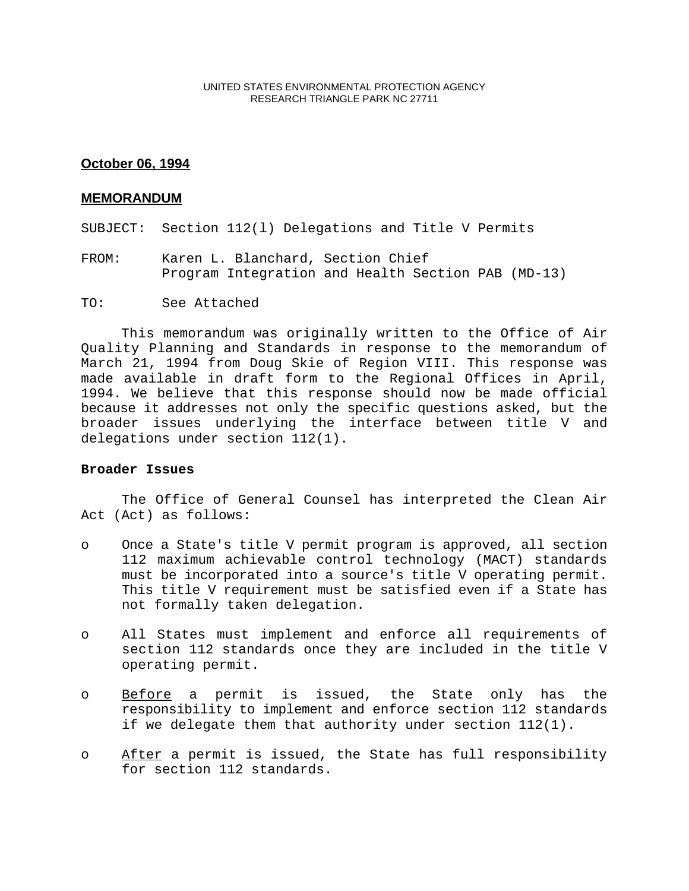### UNITED STATES ENVIRONMENTAL PROTECTION AGENCY RESEARCH TRIANGLE PARK NC 27711

# **October 06, 1994**

### **MEMORANDUM**

SUBJECT: Section 112(l) Delegations and Title V Permits

- FROM: Karen L. Blanchard, Section Chief Program Integration and Health Section PAB (MD-13)
- TO: See Attached

This memorandum was originally written to the Office of Air Quality Planning and Standards in response to the memorandum of March 21, 1994 from Doug Skie of Region VIII. This response was made available in draft form to the Regional Offices in April, 1994. We believe that this response should now be made official because it addresses not only the specific questions asked, but the broader issues underlying the interface between title V and delegations under section 112(1).

## **Broader Issues**

The Office of General Counsel has interpreted the Clean Air Act (Act) as follows:

- o Once a State's title V permit program is approved, all section 112 maximum achievable control technology (MACT) standards must be incorporated into a source's title V operating permit. This title V requirement must be satisfied even if a State has not formally taken delegation.
- o All States must implement and enforce all requirements of section 112 standards once they are included in the title V operating permit.
- o Before a permit is issued, the State only has the responsibility to implement and enforce section 112 standards if we delegate them that authority under section 112(1).
- o After a permit is issued, the State has full responsibility for section 112 standards.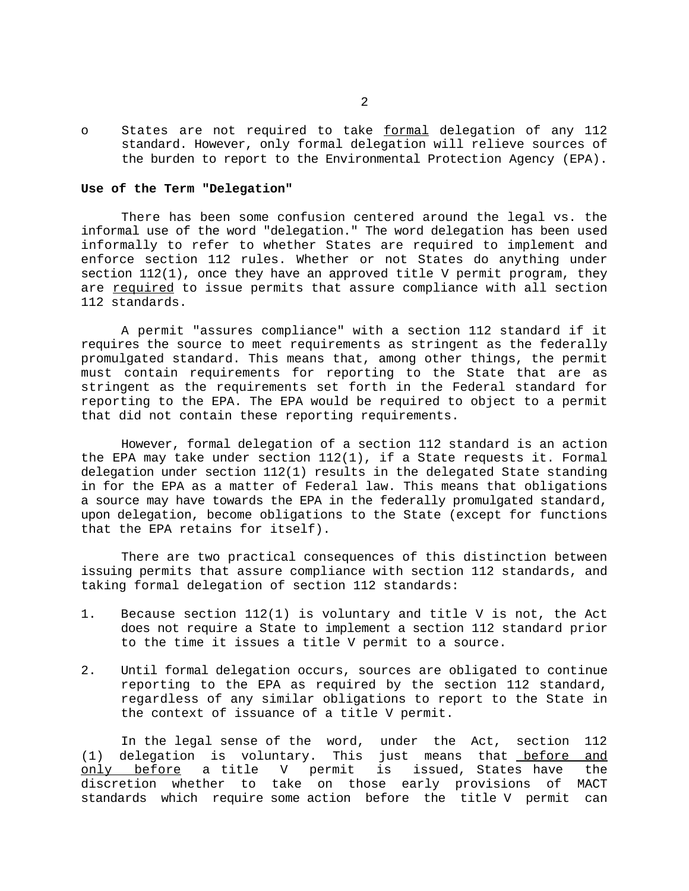o States are not required to take formal delegation of any 112 standard. However, only formal delegation will relieve sources of the burden to report to the Environmental Protection Agency (EPA).

#### **Use of the Term "Delegation"**

There has been some confusion centered around the legal vs. the informal use of the word "delegation." The word delegation has been used informally to refer to whether States are required to implement and enforce section 112 rules. Whether or not States do anything under section  $112(1)$ , once they have an approved title V permit program, they are required to issue permits that assure compliance with all section 112 standards.

A permit "assures compliance" with a section 112 standard if it requires the source to meet requirements as stringent as the federally promulgated standard. This means that, among other things, the permit must contain requirements for reporting to the State that are as stringent as the requirements set forth in the Federal standard for reporting to the EPA. The EPA would be required to object to a permit that did not contain these reporting requirements.

However, formal delegation of a section 112 standard is an action the EPA may take under section 112(1), if a State requests it. Formal delegation under section 112(1) results in the delegated State standing in for the EPA as a matter of Federal law. This means that obligations a source may have towards the EPA in the federally promulgated standard, upon delegation, become obligations to the State (except for functions that the EPA retains for itself).

There are two practical consequences of this distinction between issuing permits that assure compliance with section 112 standards, and taking formal delegation of section 112 standards:

- 1. Because section 112(1) is voluntary and title V is not, the Act does not require a State to implement a section 112 standard prior to the time it issues a title V permit to a source.
- 2. Until formal delegation occurs, sources are obligated to continue reporting to the EPA as required by the section 112 standard, regardless of any similar obligations to report to the State in the context of issuance of a title V permit.

In the legal sense of the word, under the Act, section 112 (1) delegation is voluntary. This just means that before and only before a title V permit is issued, States have the discretion whether to take on those early provisions of MACT standards which require some action before the title V permit can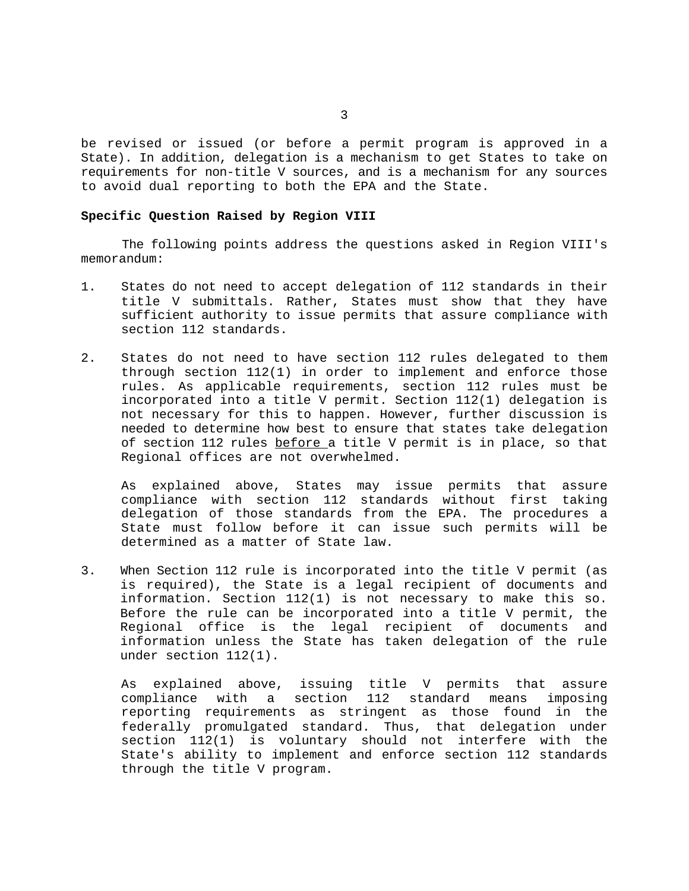be revised or issued (or before a permit program is approved in a State). In addition, delegation is a mechanism to get States to take on requirements for non-title V sources, and is a mechanism for any sources to avoid dual reporting to both the EPA and the State.

#### **Specific Question Raised by Region VIII**

The following points address the questions asked in Region VIII's memorandum:

- 1. States do not need to accept delegation of 112 standards in their title V submittals. Rather, States must show that they have sufficient authority to issue permits that assure compliance with section 112 standards.
- 2. States do not need to have section 112 rules delegated to them through section  $112(1)$  in order to implement and enforce those rules. As applicable requirements, section 112 rules must be incorporated into a title V permit. Section 112(1) delegation is not necessary for this to happen. However, further discussion is needed to determine how best to ensure that states take delegation of section 112 rules before a title V permit is in place, so that Regional offices are not overwhelmed.

As explained above, States may issue permits that assure compliance with section 112 standards without first taking delegation of those standards from the EPA. The procedures a State must follow before it can issue such permits will be determined as a matter of State law.

3. When Section 112 rule is incorporated into the title V permit (as is required), the State is a legal recipient of documents and information. Section 112(1) is not necessary to make this so. Before the rule can be incorporated into a title V permit, the Regional office is the legal recipient of documents and information unless the State has taken delegation of the rule under section 112(1).

As explained above, issuing title V permits that assure compliance with a section 112 standard means imposing reporting requirements as stringent as those found in the federally promulgated standard. Thus, that delegation under section 112(1) is voluntary should not interfere with the State's ability to implement and enforce section 112 standards through the title V program.